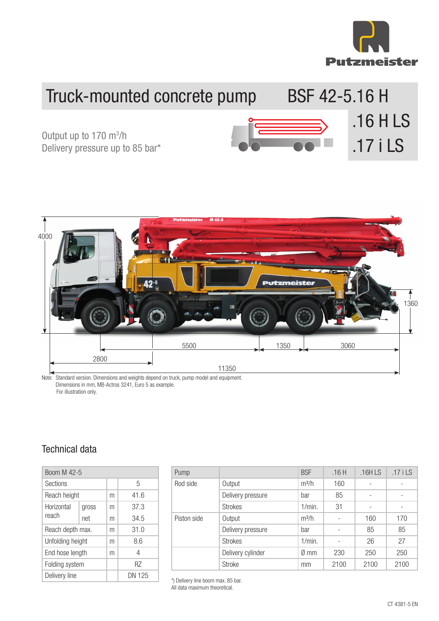

.16 H LS

## Truck-mounted concrete pump BSF 42-5.16 H

Output up to 170 m<sup>3</sup>/h<br>Delivery pressure up to 85 bar\* **Delivery 17 i LS** Output up to 170 m<sup>3</sup>/h



Note: Standard version. Dimensions and weights depend on truck, pump model and equipment. Dimensions in mm, MB-Actros 3241, Euro 5 as example. For illustration only.

## Technical data

| Boom M 42-5         |       |   |        |  |  |
|---------------------|-------|---|--------|--|--|
| Sections            |       |   | 5      |  |  |
| Reach height        |       | m | 41.6   |  |  |
| Horizontal<br>reach | gross | m | 37.3   |  |  |
|                     | net   | m | 34.5   |  |  |
| Reach depth max.    |       | m | 31.0   |  |  |
| Unfolding height    |       | m | 8.6    |  |  |
| End hose length     |       | m | 4      |  |  |
| Folding system      |       |   | R7     |  |  |
| Delivery line       |       |   | DN 125 |  |  |

| Pump        |                   | <b>BSF</b>     | .16H | .16HLS            | $.17$ i LS |
|-------------|-------------------|----------------|------|-------------------|------------|
| Rod side    | Output            | $m^3/h$        | 160  |                   |            |
|             | Delivery pressure | bar            | 85   | $\qquad \qquad -$ |            |
|             | <b>Strokes</b>    | 1/min.         | 31   |                   |            |
| Piston side | Output            | $m^3/h$        |      | 160               | 170        |
|             | Delivery pressure | bar            |      | 85                | 85         |
|             | <b>Strokes</b>    | 1/min.         |      | 26                | 27         |
|             | Delivery cylinder | $\emptyset$ mm | 230  | 250               | 250        |
|             | <b>Stroke</b>     | mm             | 2100 | 2100              | 2100       |

\*) Delivery line boom max. 85 bar.

All data maximum theoretical.